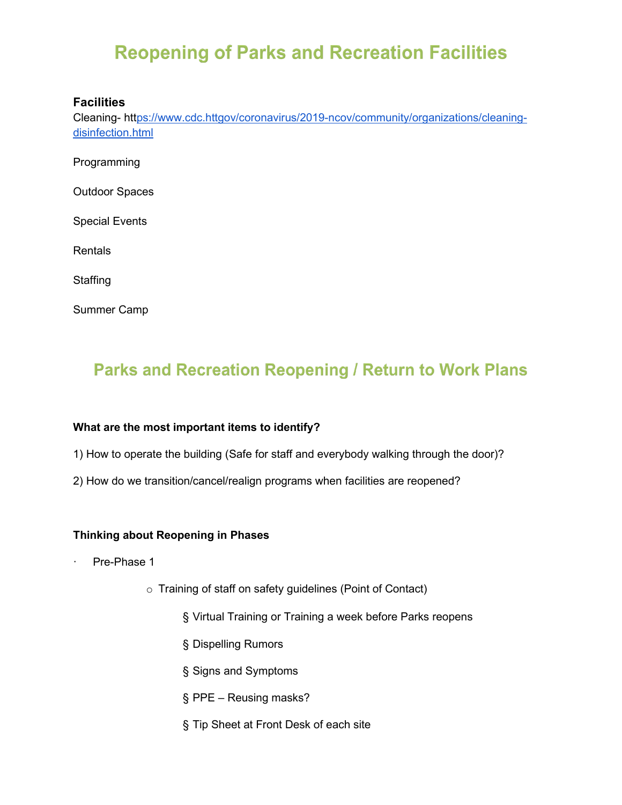# **Reopening of Parks and Recreation Facilities**

#### **Facilities**

Cleaning- ht[tps://www.cdc.httgov/coronavirus/2019-ncov/community/organizations/cleaning](https://www.cdc.gov/coronavirus/2019-ncov/community/organizations/cleaning-disinfection.html)[disinfection.html](https://www.cdc.gov/coronavirus/2019-ncov/community/organizations/cleaning-disinfection.html)

Programming

Outdoor Spaces

Special Events

**Rentals** 

**Staffing** 

Summer Camp

### **Parks and Recreation Reopening / Return to Work Plans**

#### **What are the most important items to identify?**

- 1) How to operate the building (Safe for staff and everybody walking through the door)?
- 2) How do we transition/cancel/realign programs when facilities are reopened?

#### **Thinking about Reopening in Phases**

- Pre-Phase 1
	- o Training of staff on safety guidelines (Point of Contact)
		- § Virtual Training or Training a week before Parks reopens
		- § Dispelling Rumors
		- § Signs and Symptoms
		- § PPE Reusing masks?
		- § Tip Sheet at Front Desk of each site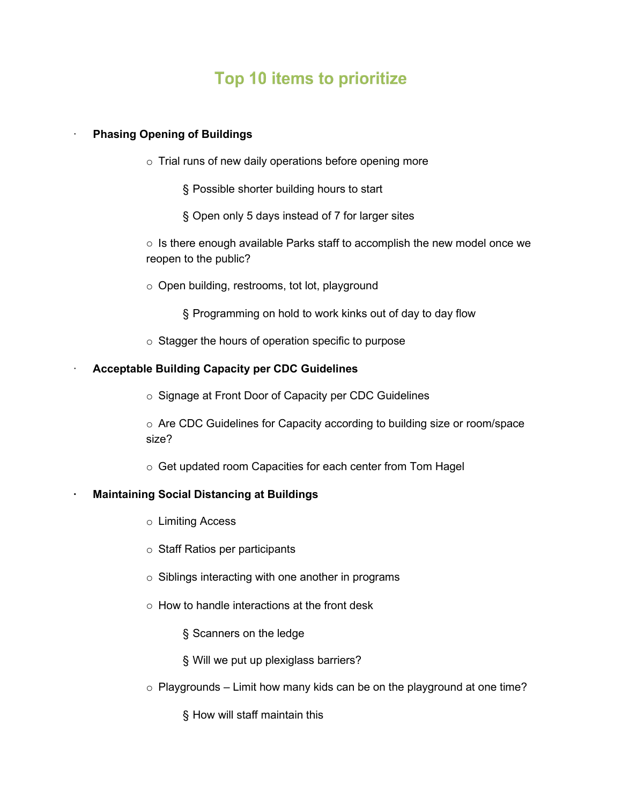## Top 10 items to prioritize

#### · **Phasing Opening of Buildings**

- $\circ$  Trial runs of new daily operations before opening more
	- § Possible shorter building hours to start
	- § Open only 5 days instead of 7 for larger sites

 $\circ$  Is there enough available Parks staff to accomplish the new model once we reopen to the public?

- o Open building, restrooms, tot lot, playground
	- § Programming on hold to work kinks out of day to day flow
- $\circ$  Stagger the hours of operation specific to purpose

#### **Acceptable Building Capacity per CDC Guidelines**

o Signage at Front Door of Capacity per CDC Guidelines

o Are CDC Guidelines for Capacity according to building size or room/space size?

o Get updated room Capacities for each center from Tom Hagel

#### **· Maintaining Social Distancing at Buildings**

- o Limiting Access
- o Staff Ratios per participants
- o Siblings interacting with one another in programs
- $\circ$  How to handle interactions at the front desk
	- § Scanners on the ledge
	- § Will we put up plexiglass barriers?
- $\circ$  Playgrounds Limit how many kids can be on the playground at one time?

§ How will staff maintain this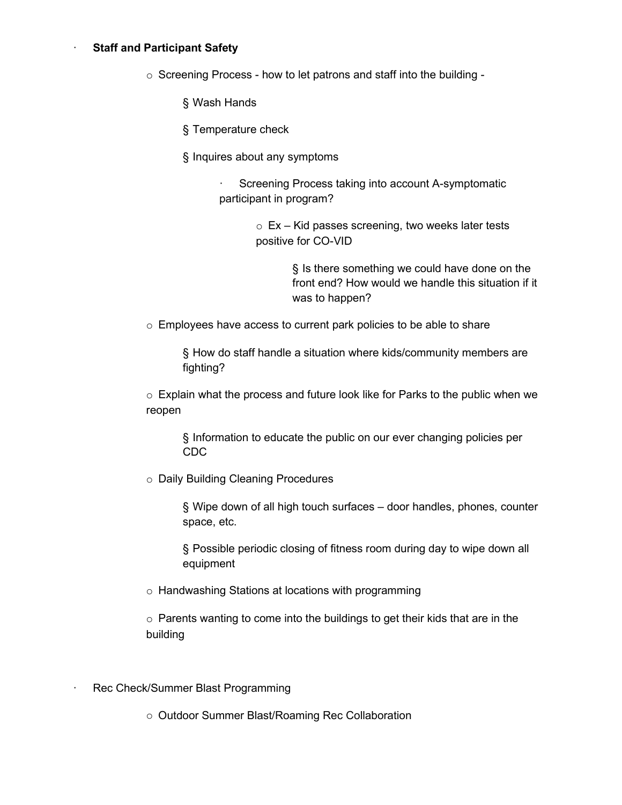#### **Staff and Participant Safety**

o Screening Process - how to let patrons and staff into the building -

§ Wash Hands

§ Temperature check

§ Inquires about any symptoms

Screening Process taking into account A-symptomatic participant in program?

> $\circ$  Ex – Kid passes screening, two weeks later tests positive for CO-VID

> > § Is there something we could have done on the front end? How would we handle this situation if it was to happen?

o Employees have access to current park policies to be able to share

§ How do staff handle a situation where kids/community members are fighting?

 $\circ$  Explain what the process and future look like for Parks to the public when we reopen

§ Information to educate the public on our ever changing policies per CDC

o Daily Building Cleaning Procedures

§ Wipe down of all high touch surfaces – door handles, phones, counter space, etc.

§ Possible periodic closing of fitness room during day to wipe down all equipment

o Handwashing Stations at locations with programming

o Parents wanting to come into the buildings to get their kids that are in the building

Rec Check/Summer Blast Programming

o Outdoor Summer Blast/Roaming Rec Collaboration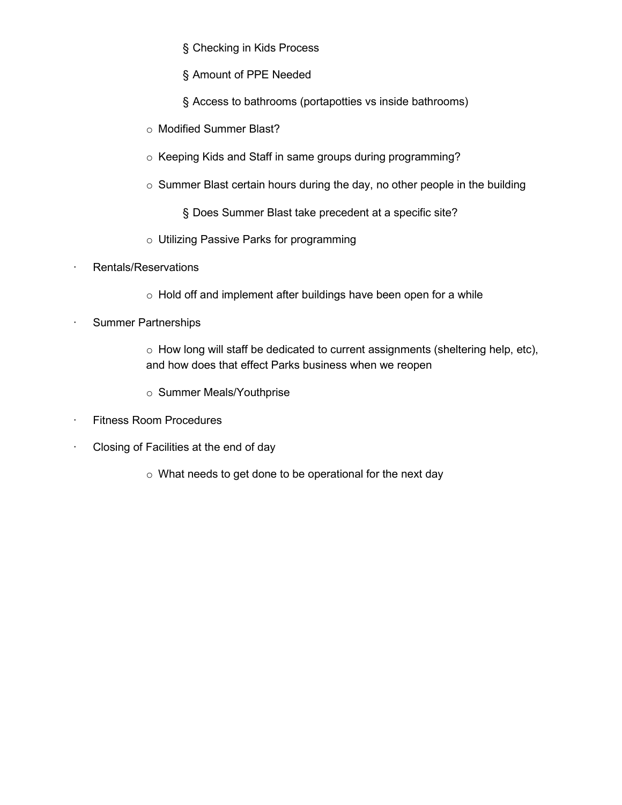§ Checking in Kids Process

§ Amount of PPE Needed

§ Access to bathrooms (portapotties vs inside bathrooms)

- o Modified Summer Blast?
- o Keeping Kids and Staff in same groups during programming?
- $\circ$  Summer Blast certain hours during the day, no other people in the building

§ Does Summer Blast take precedent at a specific site?

- o Utilizing Passive Parks for programming
- · Rentals/Reservations
	- o Hold off and implement after buildings have been open for a while
- Summer Partnerships
	- $\circ$  How long will staff be dedicated to current assignments (sheltering help, etc), and how does that effect Parks business when we reopen
	- o Summer Meals/Youthprise
- · Fitness Room Procedures
- · Closing of Facilities at the end of day
	- $\circ$  What needs to get done to be operational for the next day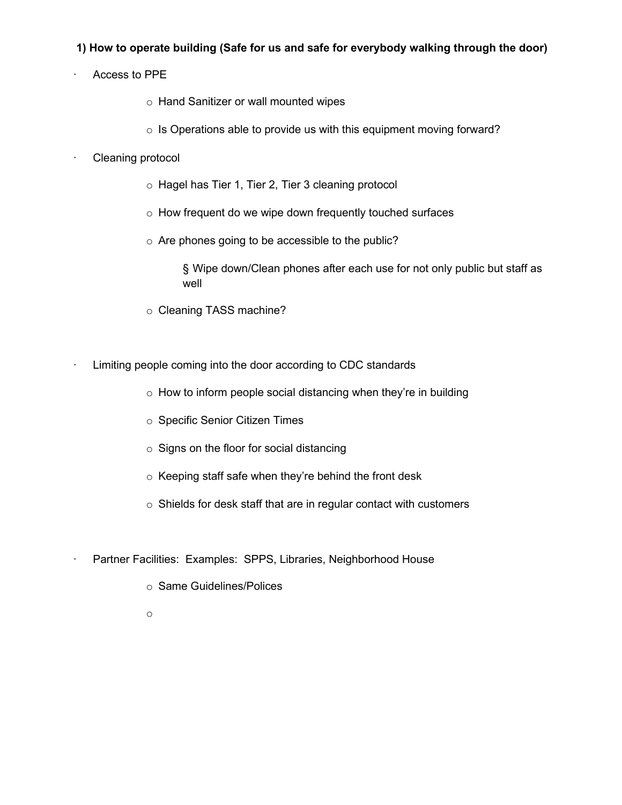#### **1) How to operate building (Safe for us and safe for everybody walking through the door)**

- Access to PPE
	- o Hand Sanitizer or wall mounted wipes
	- o Is Operations able to provide us with this equipment moving forward?
- Cleaning protocol
	- o Hagel has Tier 1, Tier 2, Tier 3 cleaning protocol
	- o How frequent do we wipe down frequently touched surfaces
	- o Are phones going to be accessible to the public?

§ Wipe down/Clean phones after each use for not only public but staff as well

- o Cleaning TASS machine?
- Limiting people coming into the door according to CDC standards
	- $\circ$  How to inform people social distancing when they're in building
	- o Specific Senior Citizen Times
	- $\circ$  Signs on the floor for social distancing
	- o Keeping staff safe when they're behind the front desk
	- o Shields for desk staff that are in regular contact with customers
- Partner Facilities: Examples: SPPS, Libraries, Neighborhood House
	- o Same Guidelines/Polices
	- o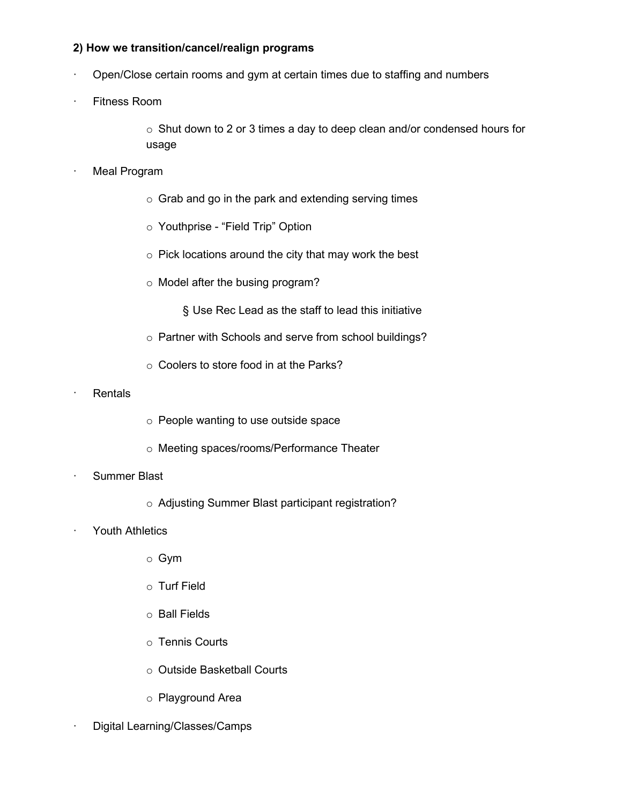#### **2) How we transition/cancel/realign programs**

- · Open/Close certain rooms and gym at certain times due to staffing and numbers
- **Fitness Room**

 $\circ$  Shut down to 2 or 3 times a day to deep clean and/or condensed hours for usage

- **Meal Program** 
	- o Grab and go in the park and extending serving times
	- o Youthprise "Field Trip" Option
	- $\circ$  Pick locations around the city that may work the best
	- o Model after the busing program?

§ Use Rec Lead as the staff to lead this initiative

- o Partner with Schools and serve from school buildings?
- o Coolers to store food in at the Parks?
- · Rentals
- o People wanting to use outside space
- o Meeting spaces/rooms/Performance Theater
- Summer Blast
	- o Adjusting Summer Blast participant registration?
- Youth Athletics
	- o Gym
	- o Turf Field
	- o Ball Fields
	- o Tennis Courts
	- o Outside Basketball Courts
	- o Playground Area
- · Digital Learning/Classes/Camps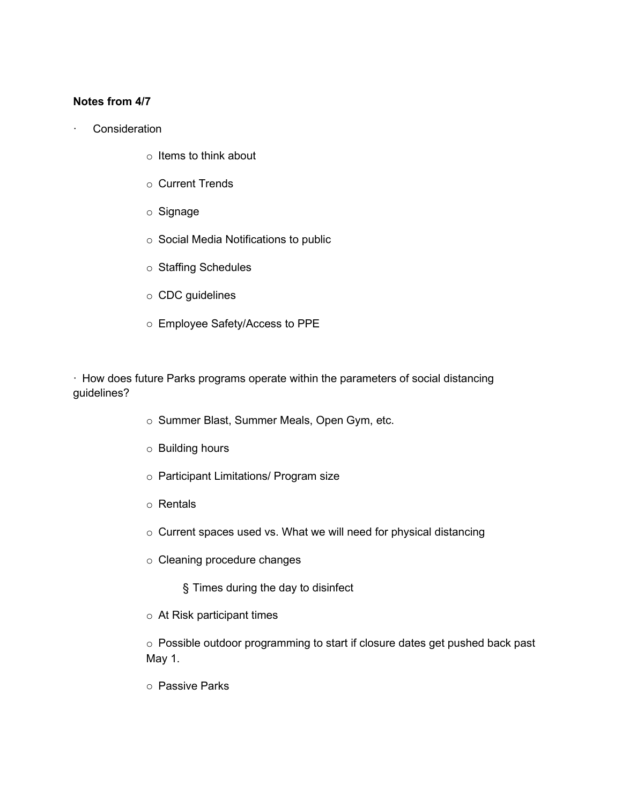#### **Notes from 4/7**

- **Consideration** 
	- $\circ$  Items to think about
	- o Current Trends
	- o Signage
	- o Social Media Notifications to public
	- o Staffing Schedules
	- o CDC guidelines
	- o Employee Safety/Access to PPE

· How does future Parks programs operate within the parameters of social distancing guidelines?

- o Summer Blast, Summer Meals, Open Gym, etc.
- o Building hours
- o Participant Limitations/ Program size
- o Rentals
- o Current spaces used vs. What we will need for physical distancing
- o Cleaning procedure changes
	- § Times during the day to disinfect
- o At Risk participant times

o Possible outdoor programming to start if closure dates get pushed back past May 1.

o Passive Parks